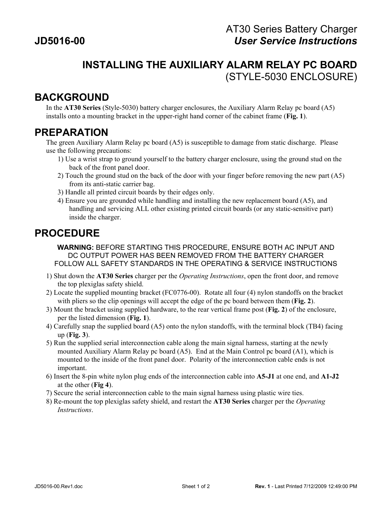## **INSTALLING THE AUXILIARY ALARM RELAY PC BOARD** (STYLE-5030 ENCLOSURE)

## **BACKGROUND**

In the **AT30 Series** (Style-5030) battery charger enclosures, the Auxiliary Alarm Relay pc board (A5) installs onto a mounting bracket in the upper-right hand corner of the cabinet frame (**Fig. 1**).

## **PREPARATION**

The green Auxiliary Alarm Relay pc board (A5) is susceptible to damage from static discharge. Please use the following precautions:

- 1) Use a wrist strap to ground yourself to the battery charger enclosure, using the ground stud on the back of the front panel door.
- 2) Touch the ground stud on the back of the door with your finger before removing the new part (A5) from its anti-static carrier bag.
- 3) Handle all printed circuit boards by their edges only.
- 4) Ensure you are grounded while handling and installing the new replacement board (A5), and handling and servicing ALL other existing printed circuit boards (or any static-sensitive part) inside the charger.

## **PROCEDURE**

**WARNING:** BEFORE STARTING THIS PROCEDURE, ENSURE BOTH AC INPUT AND DC OUTPUT POWER HAS BEEN REMOVED FROM THE BATTERY CHARGER FOLLOW ALL SAFETY STANDARDS IN THE OPERATING & SERVICE INSTRUCTIONS

- 1) Shut down the **AT30 Series** charger per the *Operating Instructions*, open the front door, and remove the top plexiglas safety shield.
- 2) Locate the supplied mounting bracket (FC0776-00). Rotate all four (4) nylon standoffs on the bracket with pliers so the clip openings will accept the edge of the pc board between them (**Fig. 2**).
- 3) Mount the bracket using supplied hardware, to the rear vertical frame post (**Fig. 2**) of the enclosure, per the listed dimension (**Fig. 1**).
- 4) Carefully snap the supplied board (A5) onto the nylon standoffs, with the terminal block (TB4) facing up (**Fig. 3**).
- 5) Run the supplied serial interconnection cable along the main signal harness, starting at the newly mounted Auxiliary Alarm Relay pc board (A5). End at the Main Control pc board (A1), which is mounted to the inside of the front panel door. Polarity of the interconnection cable ends is not important.
- 6) Insert the 8-pin white nylon plug ends of the interconnection cable into **A5-J1** at one end, and **A1-J2** at the other (**Fig 4**).
- 7) Secure the serial interconnection cable to the main signal harness using plastic wire ties.
- 8) Re-mount the top plexiglas safety shield, and restart the **AT30 Series** charger per the *Operating Instructions*.